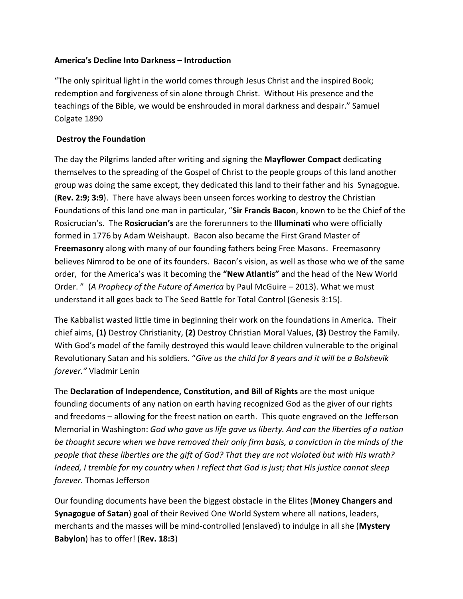# **America's Decline Into Darkness – Introduction**

"The only spiritual light in the world comes through Jesus Christ and the inspired Book; redemption and forgiveness of sin alone through Christ. Without His presence and the teachings of the Bible, we would be enshrouded in moral darkness and despair." Samuel Colgate 1890

# **Destroy the Foundation**

The day the Pilgrims landed after writing and signing the **Mayflower Compact** dedicating themselves to the spreading of the Gospel of Christ to the people groups of this land another group was doing the same except, they dedicated this land to their father and his Synagogue. (**Rev. 2:9; 3:9**). There have always been unseen forces working to destroy the Christian Foundations of this land one man in particular, "**Sir Francis Bacon**, known to be the Chief of the Rosicrucian's. The **Rosicrucian's** are the forerunners to the **Illuminati** who were officially formed in 1776 by Adam Weishaupt. Bacon also became the First Grand Master of **Freemasonry** along with many of our founding fathers being Free Masons. Freemasonry believes Nimrod to be one of its founders. Bacon's vision, as well as those who we of the same order, for the America's was it becoming the **"New Atlantis"** and the head of the New World Order. " (*A Prophecy of the Future of America* by Paul McGuire – 2013). What we must understand it all goes back to The Seed Battle for Total Control (Genesis 3:15).

The Kabbalist wasted little time in beginning their work on the foundations in America. Their chief aims, **(1)** Destroy Christianity, **(2)** Destroy Christian Moral Values, **(3)** Destroy the Family. With God's model of the family destroyed this would leave children vulnerable to the original Revolutionary Satan and his soldiers. "*Give us the child for 8 years and it will be a Bolshevik forever."* Vladmir Lenin

The **Declaration of Independence, Constitution, and Bill of Rights** are the most unique founding documents of any nation on earth having recognized God as the giver of our rights and freedoms – allowing for the freest nation on earth. This quote engraved on the Jefferson Memorial in Washington: *God who gave us life gave us liberty. And can the liberties of a nation be thought secure when we have removed their only firm basis, a conviction in the minds of the people that these liberties are the gift of God? That they are not violated but with His wrath? Indeed, I tremble for my country when I reflect that God is just; that His justice cannot sleep forever.* Thomas Jefferson

Our founding documents have been the biggest obstacle in the Elites (**Money Changers and Synagogue of Satan**) goal of their Revived One World System where all nations, leaders, merchants and the masses will be mind-controlled (enslaved) to indulge in all she (**Mystery Babylon**) has to offer! (**Rev. 18:3**)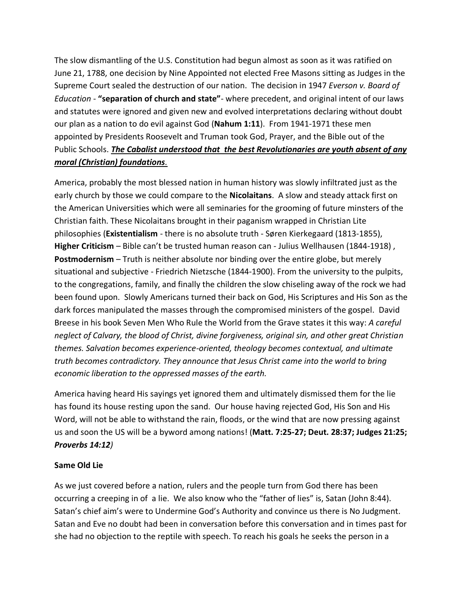The slow dismantling of the U.S. Constitution had begun almost as soon as it was ratified on June 21, 1788, one decision by Nine Appointed not elected Free Masons sitting as Judges in the Supreme Court sealed the destruction of our nation. The decision in 1947 *Everson v. Board of Education* - **"separation of church and state"**- where precedent, and original intent of our laws and statutes were ignored and given new and evolved interpretations declaring without doubt our plan as a nation to do evil against God (**Nahum 1:11**). From 1941-1971 these men appointed by Presidents Roosevelt and Truman took God, Prayer, and the Bible out of the Public Schools. *The Cabalist understood that the best Revolutionaries are youth absent of any moral (Christian) foundations.*

America, probably the most blessed nation in human history was slowly infiltrated just as the early church by those we could compare to the **Nicolaitans**. A slow and steady attack first on the American Universities which were all seminaries for the grooming of future minsters of the Christian faith. These Nicolaitans brought in their paganism wrapped in Christian Lite philosophies (**Existentialism** - there is no absolute truth - Søren Kierkegaard (1813-1855), **Higher Criticism** – Bible can't be trusted human reason can - Julius Wellhausen (1844-1918) , **Postmodernism** – Truth is neither absolute nor binding over the entire globe, but merely situational and subjective - Friedrich Nietzsche (1844-1900). From the university to the pulpits, to the congregations, family, and finally the children the slow chiseling away of the rock we had been found upon. Slowly Americans turned their back on God, His Scriptures and His Son as the dark forces manipulated the masses through the compromised ministers of the gospel. David Breese in his book Seven Men Who Rule the World from the Grave states it this way: *A careful neglect of Calvary, the blood of Christ, divine forgiveness, original sin, and other great Christian themes. Salvation becomes experience-oriented, theology becomes contextual, and ultimate truth becomes contradictory. They announce that Jesus Christ came into the world to bring economic liberation to the oppressed masses of the earth.*

America having heard His sayings yet ignored them and ultimately dismissed them for the lie has found its house resting upon the sand. Our house having rejected God, His Son and His Word, will not be able to withstand the rain, floods, or the wind that are now pressing against us and soon the US will be a byword among nations! (**Matt. 7:25-27; Deut. 28:37; Judges 21:25;**  *Proverbs 14:12)*

### **Same Old Lie**

As we just covered before a nation, rulers and the people turn from God there has been occurring a creeping in of a lie. We also know who the "father of lies" is, Satan (John 8:44). Satan's chief aim's were to Undermine God's Authority and convince us there is No Judgment. Satan and Eve no doubt had been in conversation before this conversation and in times past for she had no objection to the reptile with speech. To reach his goals he seeks the person in a